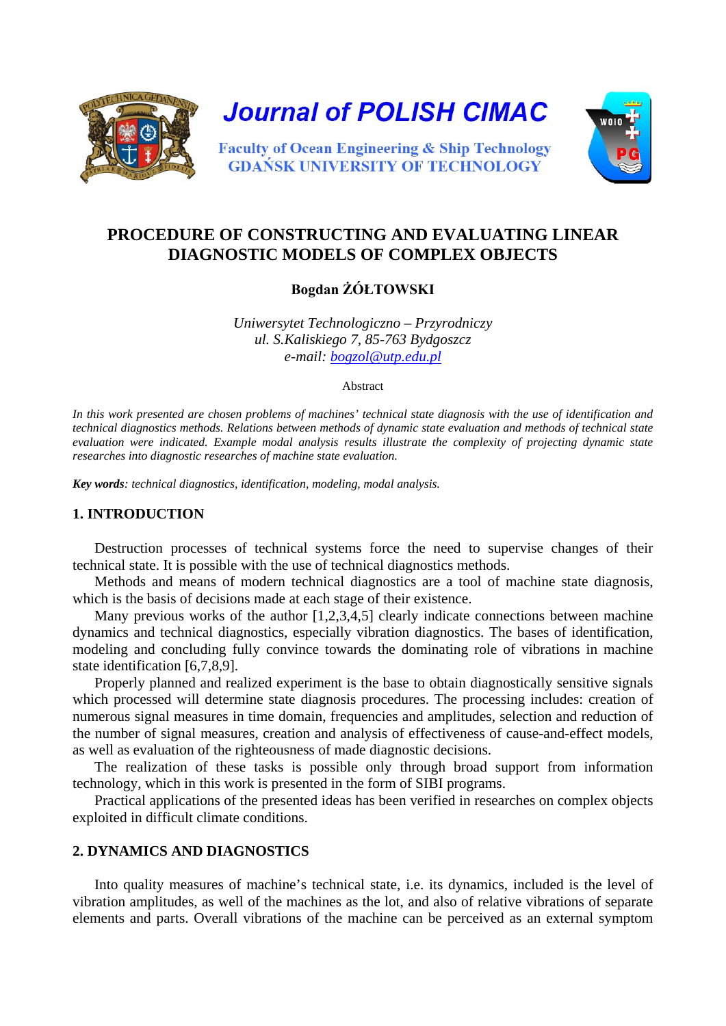



# **PROCEDURE OF CONSTRUCTING AND EVALUATING LINEAR DIAGNOSTIC MODELS OF COMPLEX OBJECTS**

## **Bogdan ŻÓŁTOWSKI**

*Uniwersytet Technologiczno – Przyrodniczy ul. S.Kaliskiego 7, 85-763 Bydgoszcz e-mail: [bogzol@utp.edu.pl](mailto:bogzol@utp.edu.pl)*

Abstract

*In this work presented are chosen problems of machines' technical state diagnosis with the use of identification and technical diagnostics methods. Relations between methods of dynamic state evaluation and methods of technical state evaluation were indicated. Example modal analysis results illustrate the complexity of projecting dynamic state researches into diagnostic researches of machine state evaluation.*

*Key words: technical diagnostics, identification, modeling, modal analysis.* 

### **1. INTRODUCTION**

Destruction processes of technical systems force the need to supervise changes of their technical state. It is possible with the use of technical diagnostics methods.

Methods and means of modern technical diagnostics are a tool of machine state diagnosis, which is the basis of decisions made at each stage of their existence.

Many previous works of the author [1,2,3,4,5] clearly indicate connections between machine dynamics and technical diagnostics, especially vibration diagnostics. The bases of identification, modeling and concluding fully convince towards the dominating role of vibrations in machine state identification [6,7,8,9].

Properly planned and realized experiment is the base to obtain diagnostically sensitive signals which processed will determine state diagnosis procedures. The processing includes: creation of numerous signal measures in time domain, frequencies and amplitudes, selection and reduction of the number of signal measures, creation and analysis of effectiveness of cause-and-effect models, as well as evaluation of the righteousness of made diagnostic decisions.

The realization of these tasks is possible only through broad support from information technology, which in this work is presented in the form of SIBI programs.

Practical applications of the presented ideas has been verified in researches on complex objects exploited in difficult climate conditions.

## **2. DYNAMICS AND DIAGNOSTICS**

Into quality measures of machine's technical state, i.e. its dynamics, included is the level of vibration amplitudes, as well of the machines as the lot, and also of relative vibrations of separate elements and parts. Overall vibrations of the machine can be perceived as an external symptom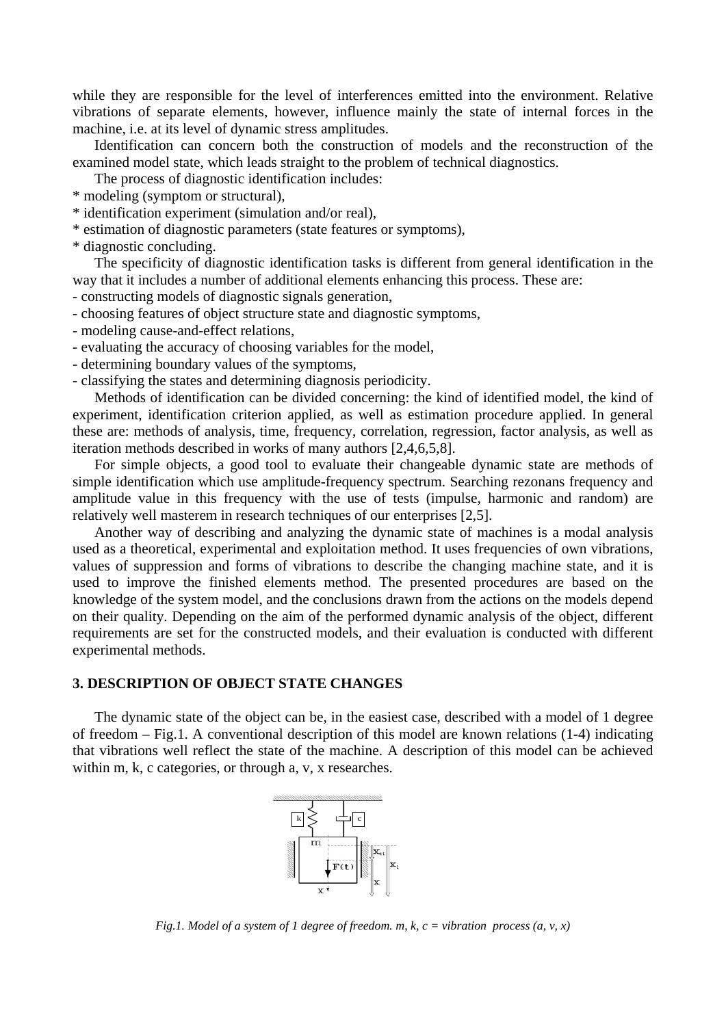while they are responsible for the level of interferences emitted into the environment. Relative vibrations of separate elements, however, influence mainly the state of internal forces in the machine, i.e. at its level of dynamic stress amplitudes.

Identification can concern both the construction of models and the reconstruction of the examined model state, which leads straight to the problem of technical diagnostics.

The process of diagnostic identification includes:

\* modeling (symptom or structural),

\* identification experiment (simulation and/or real),

\* estimation of diagnostic parameters (state features or symptoms),

\* diagnostic concluding.

The specificity of diagnostic identification tasks is different from general identification in the way that it includes a number of additional elements enhancing this process. These are:

- constructing models of diagnostic signals generation,

- choosing features of object structure state and diagnostic symptoms,

- modeling cause-and-effect relations,

- evaluating the accuracy of choosing variables for the model,
- determining boundary values of the symptoms,
- classifying the states and determining diagnosis periodicity.

Methods of identification can be divided concerning: the kind of identified model, the kind of experiment, identification criterion applied, as well as estimation procedure applied. In general these are: methods of analysis, time, frequency, correlation, regression, factor analysis, as well as iteration methods described in works of many authors [2,4,6,5,8].

For simple objects, a good tool to evaluate their changeable dynamic state are methods of simple identification which use amplitude-frequency spectrum. Searching rezonans frequency and amplitude value in this frequency with the use of tests (impulse, harmonic and random) are relatively well masterem in research techniques of our enterprises [2,5].

Another way of describing and analyzing the dynamic state of machines is a modal analysis used as a theoretical, experimental and exploitation method. It uses frequencies of own vibrations, values of suppression and forms of vibrations to describe the changing machine state, and it is used to improve the finished elements method. The presented procedures are based on the knowledge of the system model, and the conclusions drawn from the actions on the models depend on their quality. Depending on the aim of the performed dynamic analysis of the object, different requirements are set for the constructed models, and their evaluation is conducted with different experimental methods.

#### **3. DESCRIPTION OF OBJECT STATE CHANGES**

The dynamic state of the object can be, in the easiest case, described with a model of 1 degree of freedom – Fig.1. A conventional description of this model are known relations (1-4) indicating that vibrations well reflect the state of the machine. A description of this model can be achieved within m, k, c categories, or through a, v, x researches.



*Fig.1. Model of a system of 1 degree of freedom. m, k, c = vibration process (a, v, x)*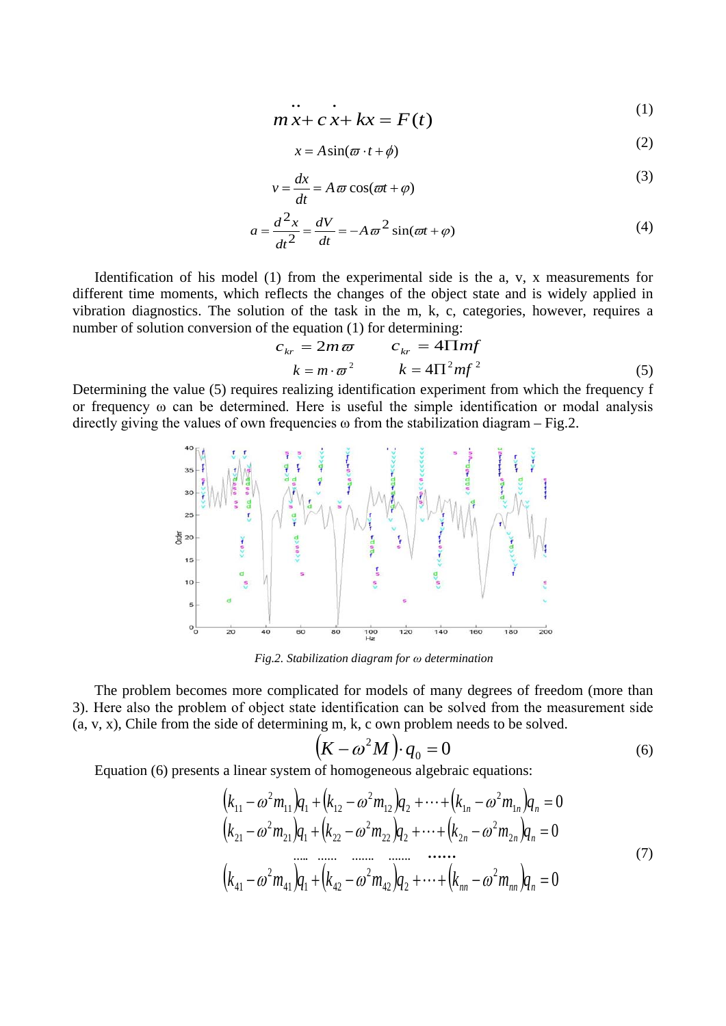$$
\dots
$$
  

$$
mx + c\ x + kx = F(t)
$$
 (1)

$$
x = A\sin(\varpi \cdot t + \phi) \tag{2}
$$

 $(1)$ 

 $(2)$ 

$$
v = \frac{dx}{dt} = A \varpi \cos(\varpi t + \varphi)
$$
 (3)

$$
a = \frac{d^2x}{dt^2} = \frac{dV}{dt} = -A\varpi^2 \sin(\varpi t + \varphi)
$$
\n(4)

Identification of his model (1) from the experimental side is the a, v, x measurements for different time moments, which reflects the changes of the object state and is widely applied in vibration diagnostics. The solution of the task in the m, k, c, categories, however, requires a number of solution conversion of the equation (1) for determining:

$$
c_{kr} = 2m\omega \qquad c_{kr} = 4\overline{\Pi}mf
$$
  

$$
k = m \cdot \overline{\omega}^2 \qquad k = 4\overline{\Pi}^2mf^2 \qquad (5)
$$

Determining the value (5) requires realizing identification experiment from which the frequency f or frequency ω can be determined. Here is useful the simple identification or modal analysis directly giving the values of own frequencies  $\omega$  from the stabilization diagram – Fig.2.



*Fig.2. Stabilization diagram for ω determination*

The problem becomes more complicated for models of many degrees of freedom (more than 3). Here also the problem of object state identification can be solved from the measurement side (a, v, x), Chile from the side of determining m, k, c own problem needs to be solved.

$$
(K - \omega^2 M) \cdot q_0 = 0 \tag{6}
$$

Equation (6) presents a linear system of homogeneous algebraic equations:

$$
(k_{11} - \omega^2 m_{11})q_1 + (k_{12} - \omega^2 m_{12})q_2 + \cdots + (k_{1n} - \omega^2 m_{1n})q_n = 0
$$
  
\n
$$
(k_{21} - \omega^2 m_{21})q_1 + (k_{22} - \omega^2 m_{22})q_2 + \cdots + (k_{2n} - \omega^2 m_{2n})q_n = 0
$$
  
\n
$$
(k_{41} - \omega^2 m_{41})q_1 + (k_{42} - \omega^2 m_{42})q_2 + \cdots + (k_{nn} - \omega^2 m_{nn})q_n = 0
$$
  
\n(7)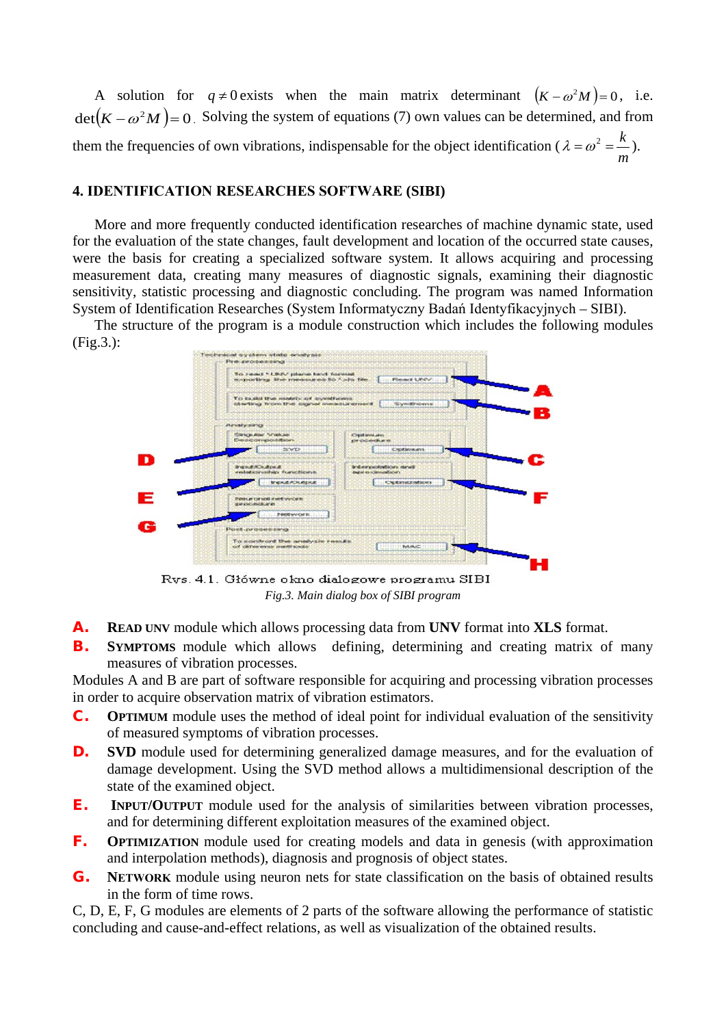A solution for  $q \neq 0$  exists when the main matrix determinant  $(K - \omega^2 M) = 0$ , i.e.  $\det(K - \omega^2 M) = 0$ . Solving the system of equations (7) own values can be determined, and from them the frequencies of own vibrations, indispensable for the object identification ( *m*  $\lambda = \omega^2 = \frac{k}{k}$ .

### **4. IDENTIFICATION RESEARCHES SOFTWARE (SIBI)**

More and more frequently conducted identification researches of machine dynamic state, used for the evaluation of the state changes, fault development and location of the occurred state causes, were the basis for creating a specialized software system. It allows acquiring and processing measurement data, creating many measures of diagnostic signals, examining their diagnostic sensitivity, statistic processing and diagnostic concluding. The program was named Information System of Identification Researches (System Informatyczny Badań Identyfikacyjnych – SIBI).

The structure of the program is a module construction which includes the following modules (Fig.3.):



Rys. 4.1. Główne okno dialogowe programu SIBI *Fig.3. Main dialog box of SIBI program*

- A. **READ UNV** module which allows processing data from **UNV** format into **XLS** format.
- **B. SYMPTOMS** module which allows defining, determining and creating matrix of many measures of vibration processes.

Modules A and B are part of software responsible for acquiring and processing vibration processes in order to acquire observation matrix of vibration estimators.

- C. **OPTIMUM** module uses the method of ideal point for individual evaluation of the sensitivity of measured symptoms of vibration processes.
- **D. SVD** module used for determining generalized damage measures, and for the evaluation of damage development. Using the SVD method allows a multidimensional description of the state of the examined object.
- E. **INPUT/OUTPUT** module used for the analysis of similarities between vibration processes, and for determining different exploitation measures of the examined object.
- **F. OPTIMIZATION** module used for creating models and data in genesis (with approximation and interpolation methods), diagnosis and prognosis of object states.
- G. **NETWORK** module using neuron nets for state classification on the basis of obtained results in the form of time rows.

C, D, E, F, G modules are elements of 2 parts of the software allowing the performance of statistic concluding and cause-and-effect relations, as well as visualization of the obtained results.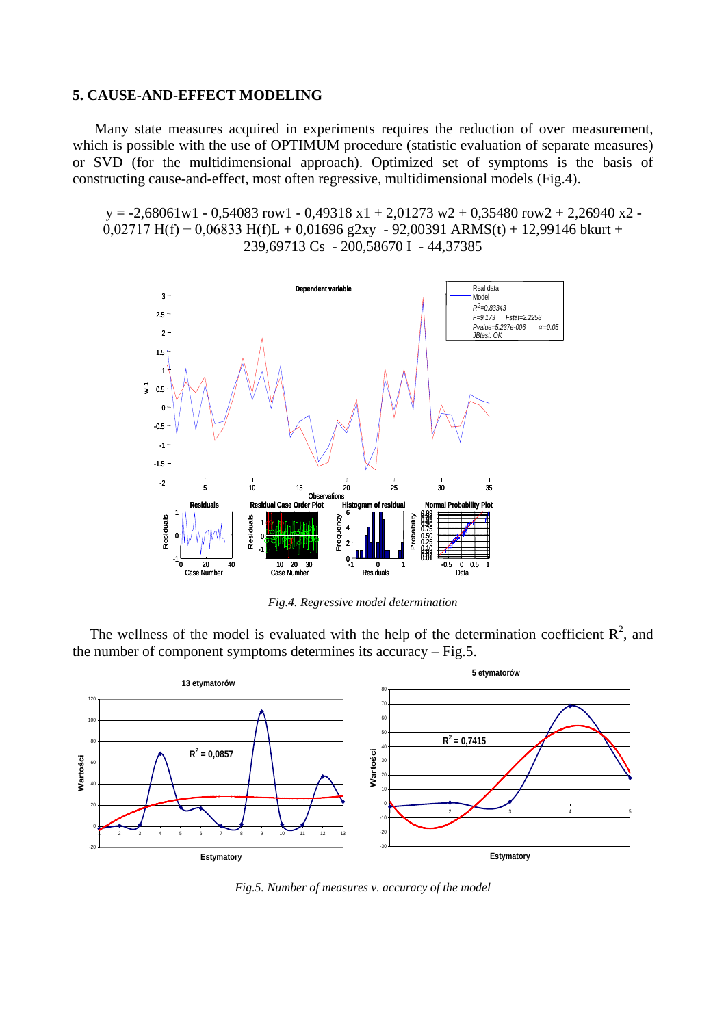#### **5. CAUSE-AND-EFFECT MODELING**

Many state measures acquired in experiments requires the reduction of over measurement, which is possible with the use of OPTIMUM procedure (statistic evaluation of separate measures) or SVD (for the multidimensional approach). Optimized set of symptoms is the basis of constructing cause-and-effect, most often regressive, multidimensional models (Fig.4).

y = -2,68061w1 - 0,54083 row1 - 0,49318 x1 + 2,01273 w2 + 0,35480 row2 + 2,26940 x2 - $0,02717$  H(f) + 0,06833 H(f)L + 0,01696 g2xy - 92,00391 ARMS(t) + 12,99146 bkurt + 239,69713 Cs - 200,58670 I - 44,37385



*Fig.4. Regressive model determination*

The wellness of the model is evaluated with the help of the determination coefficient  $\mathbb{R}^2$ , and the number of component symptoms determines its accuracy – Fig.5.



*Fig.5. Number of measures v. accuracy of the model*